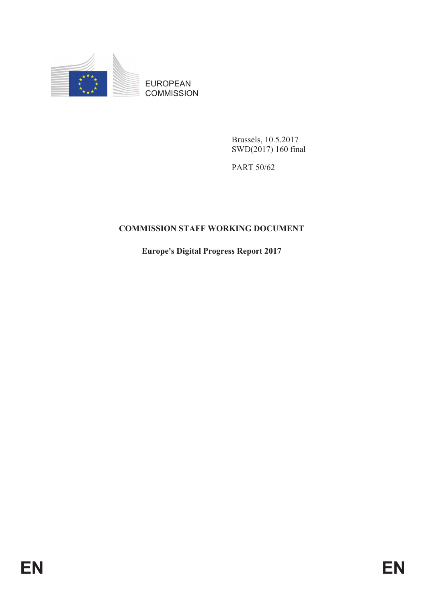

EUROPEAN **COMMISSION** 

> Brussels, 10.5.2017 SWD(2017) 160 final

PART 50/62

## **COMMISSION STAFF WORKING DOCUMENT**

**Europe's Digital Progress Report 2017**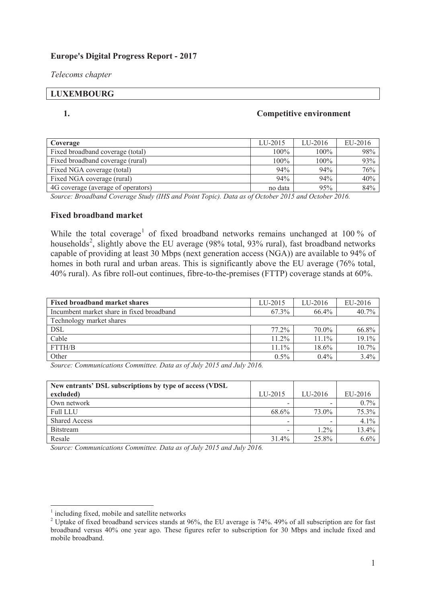#### **Europe's Digital Progress Report - 2017**

*Telecoms chapter* 

# **LUXEMBOURG**

#### **1. Competitive environment**

| Coverage                           | LU-2015 | LU-2016 | EU-2016 |
|------------------------------------|---------|---------|---------|
| Fixed broadband coverage (total)   | $100\%$ | $100\%$ | 98%     |
| Fixed broadband coverage (rural)   | $100\%$ | $100\%$ | 93%     |
| Fixed NGA coverage (total)         | 94%     | 94%     | 76%     |
| Fixed NGA coverage (rural)         | 94%     | 94%     | 40%     |
| 4G coverage (average of operators) | no data | 95%     | 84%     |

*Source: Broadband Coverage Study (IHS and Point Topic). Data as of October 2015 and October 2016.*

#### **Fixed broadband market**

While the total coverage<sup>1</sup> of fixed broadband networks remains unchanged at 100 % of households<sup>2</sup>, slightly above the EU average (98% total, 93% rural), fast broadband networks capable of providing at least 30 Mbps (next generation access (NGA)) are available to 94% of homes in both rural and urban areas. This is significantly above the EU average (76% total, 40% rural). As fibre roll-out continues, fibre-to-the-premises (FTTP) coverage stands at 60%.

| <b>Fixed broadband market shares</b>      | LU-2015  | $LI$ -2016 | EU-2016 |
|-------------------------------------------|----------|------------|---------|
| Incumbent market share in fixed broadband | 67.3%    | 66.4%      | 40.7%   |
| Technology market shares                  |          |            |         |
| <b>DSL</b>                                | $77.2\%$ | 70.0%      | 66.8%   |
| Cable                                     | $11.2\%$ | $11.1\%$   | 19.1%   |
| <b>FTTH/B</b>                             | $11.1\%$ | 18.6%      | 10.7%   |
| Other                                     | $0.5\%$  | $0.4\%$    | 3.4%    |

*Source: Communications Committee. Data as of July 2015 and July 2016.*

| New entrants' DSL subscriptions by type of access (VDSL) |              |         |         |
|----------------------------------------------------------|--------------|---------|---------|
| excluded)                                                | $LI$ $-2015$ | LU-2016 | EU-2016 |
| Own network                                              | -            |         | $0.7\%$ |
| <b>Full LLU</b>                                          | 68.6%        | 73.0%   | 75.3%   |
| <b>Shared Access</b>                                     |              |         | $4.1\%$ |
| <b>Bitstream</b>                                         |              | $1.2\%$ | 13.4%   |
| Resale                                                   | 31.4%        | 25.8%   | $6.6\%$ |

*Source: Communications Committee. Data as of July 2015 and July 2016.* 

<sup>&</sup>lt;sup>1</sup> including fixed, mobile and satellite networks

<sup>&</sup>lt;sup>2</sup> Uptake of fixed broadband services stands at 96%, the EU average is 74%. 49% of all subscription are for fast broadband versus 40% one year ago. These figures refer to subscription for 30 Mbps and include fixed and mobile broadband.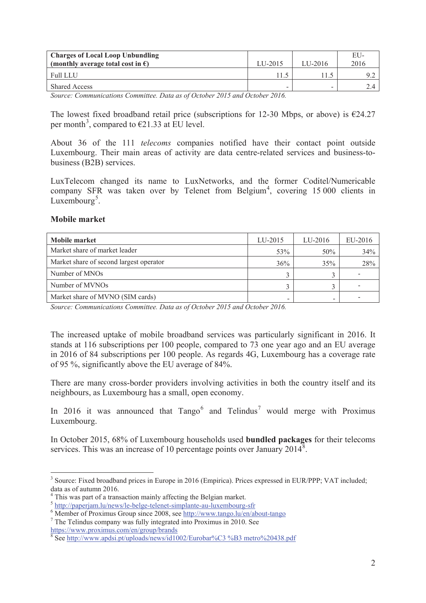| <b>Charges of Local Loop Unbundling</b><br>(monthly average total cost in $\epsilon$ ) | LU-2015 | $LI$ -2016 | EU-<br>2016 |
|----------------------------------------------------------------------------------------|---------|------------|-------------|
| <b>Full LLU</b>                                                                        |         |            |             |
| <b>Shared Access</b>                                                                   | -       | -          |             |

*Source: Communications Committee. Data as of October 2015 and October 2016.* 

The lowest fixed broadband retail price (subscriptions for 12-30 Mbps, or above) is  $\epsilon$ 24.27 per month<sup>3</sup>, compared to  $\epsilon$ 21.33 at EU level.

About 36 of the 111 *telecoms* companies notified have their contact point outside Luxembourg. Their main areas of activity are data centre-related services and business-tobusiness (B2B) services.

LuxTelecom changed its name to LuxNetworks, and the former Coditel/Numericable company SFR was taken over by Telenet from Belgium<sup>4</sup>, covering 15 000 clients in Luxembourg<sup>5</sup>.

#### **Mobile market**

| Mobile market                           | LU-2015 | $LIJ-2016$ | EU-2016 |
|-----------------------------------------|---------|------------|---------|
| Market share of market leader           | 53%     | 50%        | 34%     |
| Market share of second largest operator | 36%     | 35%        | 28%     |
| Number of MNOs                          | ζ       |            |         |
| Number of MVNOs                         |         |            |         |
| Market share of MVNO (SIM cards)        | -       |            |         |

*Source: Communications Committee. Data as of October 2015 and October 2016.* 

The increased uptake of mobile broadband services was particularly significant in 2016. It stands at 116 subscriptions per 100 people, compared to 73 one year ago and an EU average in 2016 of 84 subscriptions per 100 people. As regards 4G, Luxembourg has a coverage rate of 95 %, significantly above the EU average of 84%.

There are many cross-border providers involving activities in both the country itself and its neighbours, as Luxembourg has a small, open economy.

In 2016 it was announced that  $Tango^6$  and  $Telindus^7$  would merge with Proximus Luxembourg.

In October 2015, 68% of Luxembourg households used **bundled packages** for their telecoms services. This was an increase of 10 percentage points over January 2014<sup>8</sup>.

https://www.proximus.com/en/group/brands

 $\overline{a}$ <sup>3</sup> Source: Fixed broadband prices in Europe in 2016 (Empirica). Prices expressed in EUR/PPP; VAT included; data as of autumn 2016.

<sup>&</sup>lt;sup>4</sup> This was part of a transaction mainly affecting the Belgian market.

<sup>5</sup> http://paperjam.lu/news/le-belge-telenet-simplante-au-luxembourg-sfr

<sup>&</sup>lt;sup>6</sup> Member of Proximus Group since 2008, see http://www.tango.lu/en/about-tango

<sup>7</sup> The Telindus company was fully integrated into Proximus in 2010. See

<sup>8</sup> See http://www.apdsi.pt/uploads/news/id1002/Eurobar%C3 %B3 metro%20438.pdf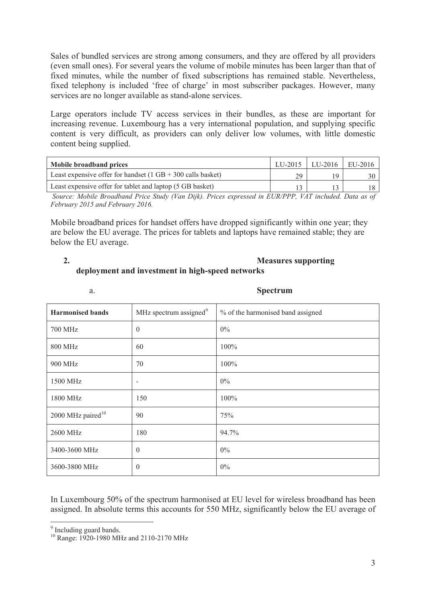Sales of bundled services are strong among consumers, and they are offered by all providers (even small ones). For several years the volume of mobile minutes has been larger than that of fixed minutes, while the number of fixed subscriptions has remained stable. Nevertheless, fixed telephony is included 'free of charge' in most subscriber packages. However, many services are no longer available as stand-alone services.

Large operators include TV access services in their bundles, as these are important for increasing revenue. Luxembourg has a very international population, and supplying specific content is very difficult, as providers can only deliver low volumes, with little domestic content being supplied.

| Mobile broadband prices                                                       |    | LU-2015   LU-2016 | EU-2016 |
|-------------------------------------------------------------------------------|----|-------------------|---------|
| Least expensive offer for handset $(1 \text{ GB} + 300 \text{ calls basket})$ | 29 | ١Q                |         |
| Least expensive offer for tablet and laptop (5 GB basket)                     |    |                   |         |

 *Source: Mobile Broadband Price Study (Van Dijk). Prices expressed in EUR/PPP, VAT included. Data as of February 2015 and February 2016.*

Mobile broadband prices for handset offers have dropped significantly within one year; they are below the EU average. The prices for tablets and laptops have remained stable; they are below the EU average.

#### **2. Measures supporting deployment and investment in high-speed networks**

a. **Spectrum**

| <b>Harmonised bands</b>       | MHz spectrum assigned <sup>9</sup> | % of the harmonised band assigned |
|-------------------------------|------------------------------------|-----------------------------------|
| 700 MHz                       | $\overline{0}$                     | $0\%$                             |
| <b>800 MHz</b>                | 60                                 | 100%                              |
| 900 MHz                       | 70                                 | 100%                              |
| 1500 MHz                      | $\overline{\phantom{a}}$           | $0\%$                             |
| 1800 MHz                      | 150                                | 100%                              |
| 2000 MHz paired <sup>10</sup> | 90                                 | 75%                               |
| 2600 MHz                      | 180                                | 94.7%                             |
| 3400-3600 MHz                 | $\theta$                           | $0\%$                             |
| 3600-3800 MHz                 | $\boldsymbol{0}$                   | $0\%$                             |

In Luxembourg 50% of the spectrum harmonised at EU level for wireless broadband has been assigned. In absolute terms this accounts for 550 MHz, significantly below the EU average of

<sup>&</sup>lt;sup>9</sup> Including guard bands.

<sup>&</sup>lt;sup>10</sup> Range: 1920-1980 MHz and 2110-2170 MHz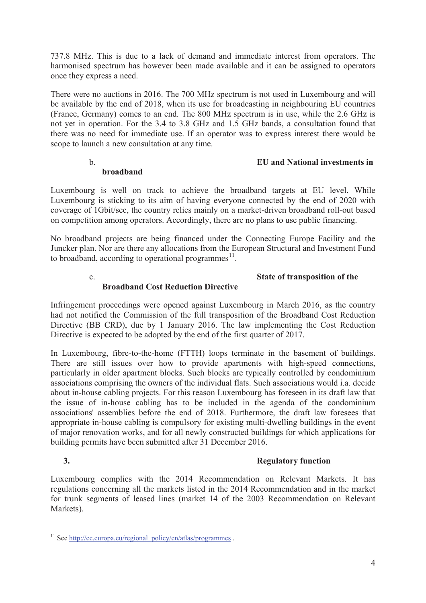737.8 MHz. This is due to a lack of demand and immediate interest from operators. The harmonised spectrum has however been made available and it can be assigned to operators once they express a need.

There were no auctions in 2016. The 700 MHz spectrum is not used in Luxembourg and will be available by the end of 2018, when its use for broadcasting in neighbouring EU countries (France, Germany) comes to an end. The 800 MHz spectrum is in use, while the 2.6 GHz is not yet in operation. For the 3.4 to 3.8 GHz and 1.5 GHz bands, a consultation found that there was no need for immediate use. If an operator was to express interest there would be scope to launch a new consultation at any time.

## b. **EU and National investments in**

## **broadband**

Luxembourg is well on track to achieve the broadband targets at EU level. While Luxembourg is sticking to its aim of having everyone connected by the end of 2020 with coverage of 1Gbit/sec, the country relies mainly on a market-driven broadband roll-out based on competition among operators. Accordingly, there are no plans to use public financing.

No broadband projects are being financed under the Connecting Europe Facility and the Juncker plan. Nor are there any allocations from the European Structural and Investment Fund to broadband, according to operational programmes $^{11}$ .

## c. **State of transposition of the**

## **Broadband Cost Reduction Directive**

Infringement proceedings were opened against Luxembourg in March 2016, as the country had not notified the Commission of the full transposition of the Broadband Cost Reduction Directive (BB CRD), due by 1 January 2016. The law implementing the Cost Reduction Directive is expected to be adopted by the end of the first quarter of 2017.

In Luxembourg, fibre-to-the-home (FTTH) loops terminate in the basement of buildings. There are still issues over how to provide apartments with high-speed connections, particularly in older apartment blocks. Such blocks are typically controlled by condominium associations comprising the owners of the individual flats. Such associations would i.a. decide about in-house cabling projects. For this reason Luxembourg has foreseen in its draft law that the issue of in-house cabling has to be included in the agenda of the condominium associations' assemblies before the end of 2018. Furthermore, the draft law foresees that appropriate in-house cabling is compulsory for existing multi-dwelling buildings in the event of major renovation works, and for all newly constructed buildings for which applications for building permits have been submitted after 31 December 2016.

## **3. Regulatory function**

Luxembourg complies with the 2014 Recommendation on Relevant Markets. It has regulations concerning all the markets listed in the 2014 Recommendation and in the market for trunk segments of leased lines (market 14 of the 2003 Recommendation on Relevant Markets).

 $\overline{a}$ <sup>11</sup> See http://ec.europa.eu/regional\_policy/en/atlas/programmes.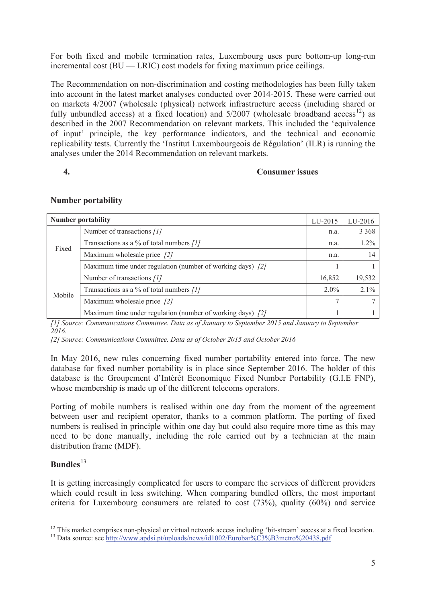For both fixed and mobile termination rates, Luxembourg uses pure bottom-up long-run incremental cost  $(BU - LRIC)$  cost models for fixing maximum price ceilings.

The Recommendation on non-discrimination and costing methodologies has been fully taken into account in the latest market analyses conducted over 2014-2015. These were carried out on markets 4/2007 (wholesale (physical) network infrastructure access (including shared or fully unbundled access) at a fixed location) and  $5/2007$  (wholesale broadband access<sup>12</sup>) as described in the 2007 Recommendation on relevant markets. This included the 'equivalence of input' principle, the key performance indicators, and the technical and economic replicability tests. Currently the 'Institut Luxembourgeois de Régulation' (ILR) is running the analyses under the 2014 Recommendation on relevant markets.

### **4. Consumer issues**

|        | <b>Number portability</b>                                  | LU-2015 | LU-2016 |
|--------|------------------------------------------------------------|---------|---------|
| Fixed  | Number of transactions [1]                                 | n.a.    | 3 3 6 8 |
|        | Transactions as a % of total numbers $[1]$                 | n.a.    | 1.2%    |
|        | Maximum wholesale price $\int$ 2]                          | n.a.    | 14      |
|        | Maximum time under regulation (number of working days) [2] |         |         |
| Mobile | Number of transactions [1]                                 | 16,852  | 19,532  |
|        | Transactions as a % of total numbers $[1]$                 | $2.0\%$ | 2.1%    |
|        | Maximum wholesale price $\int$ 2]                          |         |         |
|        | Maximum time under regulation (number of working days) [2] |         |         |

#### **Number portability**

*[1] Source: Communications Committee. Data as of January to September 2015 and January to September 2016.* 

*[2] Source: Communications Committee. Data as of October 2015 and October 2016* 

In May 2016, new rules concerning fixed number portability entered into force. The new database for fixed number portability is in place since September 2016. The holder of this database is the Groupement d'Intérêt Economique Fixed Number Portability (G.I.E FNP), whose membership is made up of the different telecoms operators.

Porting of mobile numbers is realised within one day from the moment of the agreement between user and recipient operator, thanks to a common platform. The porting of fixed numbers is realised in principle within one day but could also require more time as this may need to be done manually, including the role carried out by a technician at the main distribution frame (MDF).

## **Bundles**<sup>13</sup>

 $\overline{a}$ 

It is getting increasingly complicated for users to compare the services of different providers which could result in less switching. When comparing bundled offers, the most important criteria for Luxembourg consumers are related to cost (73%), quality (60%) and service

<sup>&</sup>lt;sup>12</sup> This market comprises non-physical or virtual network access including 'bit-stream' access at a fixed location.

<sup>&</sup>lt;sup>13</sup> Data source: see http://www.apdsi.pt/uploads/news/id1002/Eurobar%C3%B3metro%20438.pdf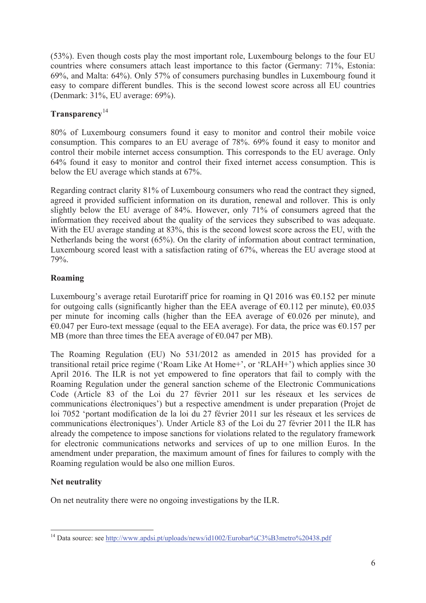(53%). Even though costs play the most important role, Luxembourg belongs to the four EU countries where consumers attach least importance to this factor (Germany: 71%, Estonia: 69%, and Malta: 64%). Only 57% of consumers purchasing bundles in Luxembourg found it easy to compare different bundles. This is the second lowest score across all EU countries (Denmark: 31%, EU average: 69%).

## **Transparency**<sup>14</sup>

80% of Luxembourg consumers found it easy to monitor and control their mobile voice consumption. This compares to an EU average of 78%. 69% found it easy to monitor and control their mobile internet access consumption. This corresponds to the EU average. Only 64% found it easy to monitor and control their fixed internet access consumption. This is below the EU average which stands at 67%.

Regarding contract clarity 81% of Luxembourg consumers who read the contract they signed, agreed it provided sufficient information on its duration, renewal and rollover. This is only slightly below the EU average of 84%. However, only 71% of consumers agreed that the information they received about the quality of the services they subscribed to was adequate. With the EU average standing at 83%, this is the second lowest score across the EU, with the Netherlands being the worst (65%). On the clarity of information about contract termination, Luxembourg scored least with a satisfaction rating of 67%, whereas the EU average stood at 79%.

## **Roaming**

Luxembourg's average retail Eurotariff price for roaming in Q1 2016 was  $\epsilon$ 0.152 per minute for outgoing calls (significantly higher than the EEA average of  $\epsilon$ 0.112 per minute),  $\epsilon$ 0.035 per minute for incoming calls (higher than the EEA average of  $\epsilon$ 0.026 per minute), and  $€0.047$  per Euro-text message (equal to the EEA average). For data, the price was  $€0.157$  per MB (more than three times the EEA average of  $\epsilon$ 0.047 per MB).

The Roaming Regulation (EU) No 531/2012 as amended in 2015 has provided for a transitional retail price regime ('Roam Like At Home+', or 'RLAH+') which applies since 30 April 2016. The ILR is not yet empowered to fine operators that fail to comply with the Roaming Regulation under the general sanction scheme of the Electronic Communications Code (Article 83 of the Loi du 27 février 2011 sur les réseaux et les services de communications électroniques') but a respective amendment is under preparation (Projet de loi 7052 'portant modification de la loi du 27 février 2011 sur les réseaux et les services de communications électroniques'). Under Article 83 of the Loi du 27 février 2011 the ILR has already the competence to impose sanctions for violations related to the regulatory framework for electronic communications networks and services of up to one million Euros. In the amendment under preparation, the maximum amount of fines for failures to comply with the Roaming regulation would be also one million Euros.

## **Net neutrality**

On net neutrality there were no ongoing investigations by the ILR.

 $\overline{a}$ <sup>14</sup> Data source: see http://www.apdsi.pt/uploads/news/id1002/Eurobar%C3%B3metro%20438.pdf